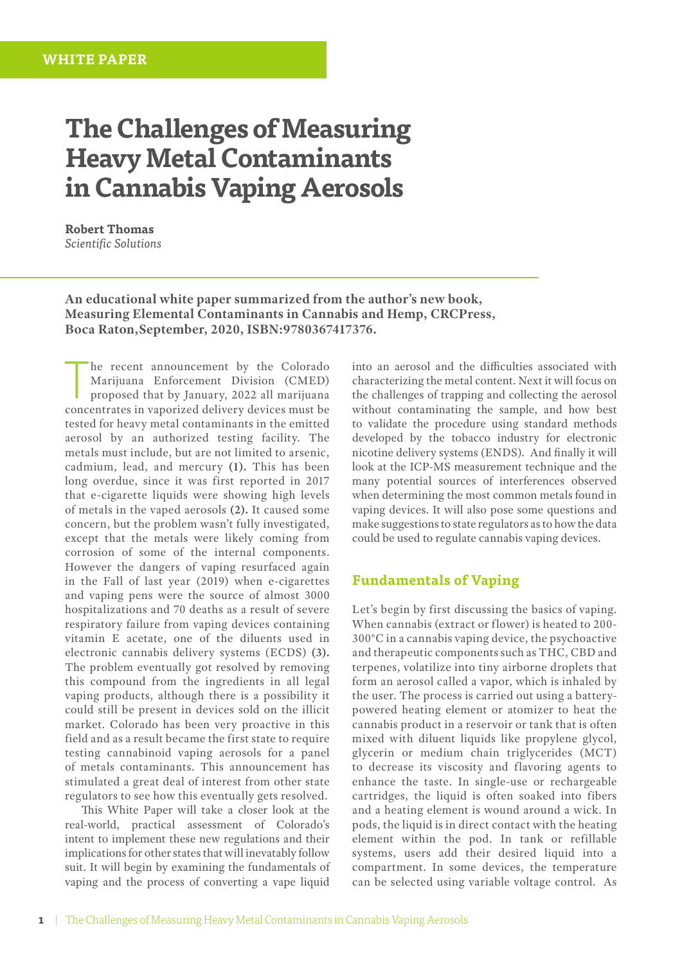# **The Challenges of Measuring Heavy Metal Contaminants in Cannabis Vaping Aerosols**

**Robert Thomas** *Scientific Solutions*

**An educational white paper summarized from the author's new book, Measuring Elemental Contaminants in Cannabis and Hemp, CRCPress, Boca Raton,September, 2020, ISBN:9780367417376.**

The recent announcement by the Colorado<br>
Marijuana Enforcement Division (CMED)<br>
proposed that by January, 2022 all marijuana<br>
concentrates in vaporized delivery devices must be he recent announcement by the Colorado Marijuana Enforcement Division (CMED) proposed that by January, 2022 all marijuana tested for heavy metal contaminants in the emitted aerosol by an authorized testing facility. The metals must include, but are not limited to arsenic, cadmium, lead, and mercury **(1).** This has been long overdue, since it was first reported in 2017 that e-cigarette liquids were showing high levels of metals in the vaped aerosols **(2).** It caused some concern, but the problem wasn't fully investigated, except that the metals were likely coming from corrosion of some of the internal components. However the dangers of vaping resurfaced again in the Fall of last year (2019) when e-cigarettes and vaping pens were the source of almost 3000 hospitalizations and 70 deaths as a result of severe respiratory failure from vaping devices containing vitamin E acetate, one of the diluents used in electronic cannabis delivery systems (ECDS) **(3).** The problem eventually got resolved by removing this compound from the ingredients in all legal vaping products, although there is a possibility it could still be present in devices sold on the illicit market. Colorado has been very proactive in this field and as a result became the first state to require testing cannabinoid vaping aerosols for a panel of metals contaminants. This announcement has stimulated a great deal of interest from other state regulators to see how this eventually gets resolved.

This White Paper will take a closer look at the real-world, practical assessment of Colorado's intent to implement these new regulations and their implications for other states that will inevatably follow suit. It will begin by examining the fundamentals of vaping and the process of converting a vape liquid

into an aerosol and the difficulties associated with characterizing the metal content. Next it will focus on the challenges of trapping and collecting the aerosol without contaminating the sample, and how best to validate the procedure using standard methods developed by the tobacco industry for electronic nicotine delivery systems (ENDS). And finally it will look at the ICP-MS measurement technique and the many potential sources of interferences observed when determining the most common metals found in vaping devices. It will also pose some questions and make suggestions to state regulators as to how the data could be used to regulate cannabis vaping devices.

#### **Fundamentals of Vaping**

Let's begin by first discussing the basics of vaping. When cannabis (extract or flower) is heated to 200- 300°C in a cannabis vaping device, the psychoactive and therapeutic components such as THC, CBD and terpenes, volatilize into tiny airborne droplets that form an aerosol called a vapor, which is inhaled by the user. The process is carried out using a batterypowered heating element or atomizer to heat the cannabis product in a reservoir or tank that is often mixed with diluent liquids like propylene glycol, glycerin or medium chain triglycerides (MCT) to decrease its viscosity and flavoring agents to enhance the taste. In single-use or rechargeable cartridges, the liquid is often soaked into fibers and a heating element is wound around a wick. In pods, the liquid is in direct contact with the heating element within the pod. In tank or refillable systems, users add their desired liquid into a compartment. In some devices, the temperature can be selected using variable voltage control. As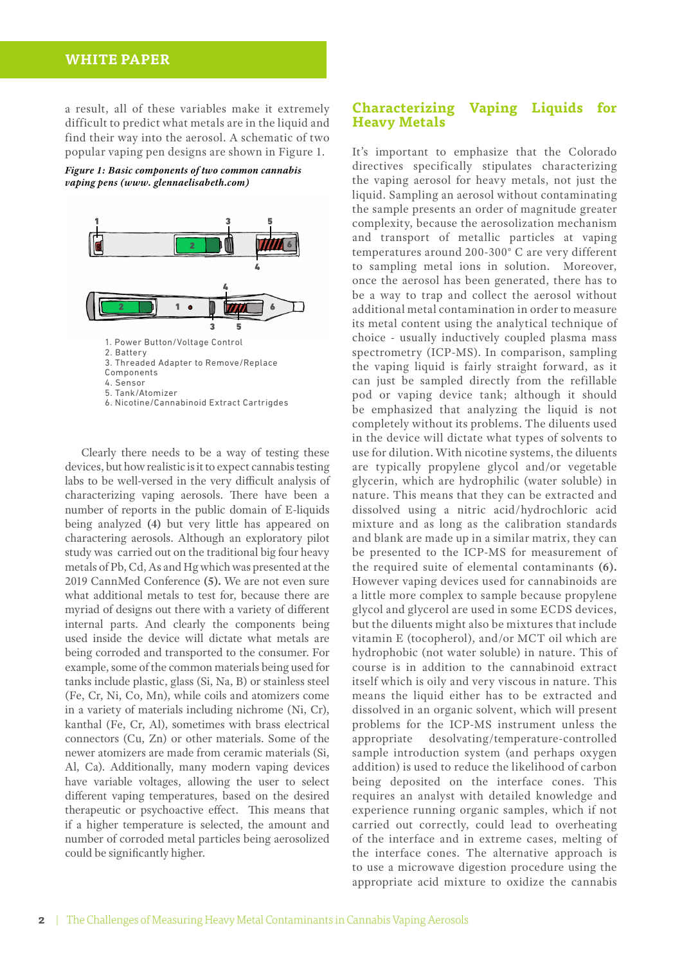## **WHITE PAPER**

a result, all of these variables make it extremely difficult to predict what metals are in the liquid and find their way into the aerosol. A schematic of two popular vaping pen designs are shown in Figure 1.

*Figure 1: Basic components of two common cannabis vaping pens (www. glennaelisabeth.com)*



Clearly there needs to be a way of testing these devices, but how realistic is it to expect cannabis testing labs to be well-versed in the very difficult analysis of characterizing vaping aerosols. There have been a number of reports in the public domain of E-liquids being analyzed **(4)** but very little has appeared on charactering aerosols. Although an exploratory pilot study was carried out on the traditional big four heavy metals of Pb, Cd, As and Hg which was presented at the 2019 CannMed Conference **(5).** We are not even sure what additional metals to test for, because there are myriad of designs out there with a variety of different internal parts. And clearly the components being used inside the device will dictate what metals are being corroded and transported to the consumer. For example, some of the common materials being used for tanks include plastic, glass (Si, Na, B) or stainless steel (Fe, Cr, Ni, Co, Mn), while coils and atomizers come in a variety of materials including nichrome (Ni, Cr), kanthal (Fe, Cr, Al), sometimes with brass electrical connectors (Cu, Zn) or other materials. Some of the newer atomizers are made from ceramic materials (Si, Al, Ca). Additionally, many modern vaping devices have variable voltages, allowing the user to select different vaping temperatures, based on the desired therapeutic or psychoactive effect. This means that if a higher temperature is selected, the amount and number of corroded metal particles being aerosolized could be significantly higher.

#### **Characterizing Vaping Liquids for Heavy Metals**

It's important to emphasize that the Colorado directives specifically stipulates characterizing the vaping aerosol for heavy metals, not just the liquid. Sampling an aerosol without contaminating the sample presents an order of magnitude greater complexity, because the aerosolization mechanism and transport of metallic particles at vaping temperatures around 200-300° C are very different to sampling metal ions in solution. Moreover, once the aerosol has been generated, there has to be a way to trap and collect the aerosol without additional metal contamination in order to measure its metal content using the analytical technique of choice - usually inductively coupled plasma mass spectrometry (ICP-MS). In comparison, sampling the vaping liquid is fairly straight forward, as it can just be sampled directly from the refillable pod or vaping device tank; although it should be emphasized that analyzing the liquid is not completely without its problems. The diluents used in the device will dictate what types of solvents to use for dilution. With nicotine systems, the diluents are typically propylene glycol and/or vegetable glycerin, which are hydrophilic (water soluble) in nature. This means that they can be extracted and dissolved using a nitric acid/hydrochloric acid mixture and as long as the calibration standards and blank are made up in a similar matrix, they can be presented to the ICP-MS for measurement of the required suite of elemental contaminants **(6).** However vaping devices used for cannabinoids are a little more complex to sample because propylene glycol and glycerol are used in some ECDS devices, but the diluents might also be mixtures that include vitamin E (tocopherol), and/or MCT oil which are hydrophobic (not water soluble) in nature. This of course is in addition to the cannabinoid extract itself which is oily and very viscous in nature. This means the liquid either has to be extracted and dissolved in an organic solvent, which will present problems for the ICP-MS instrument unless the appropriate desolvating/temperature-controlled sample introduction system (and perhaps oxygen addition) is used to reduce the likelihood of carbon being deposited on the interface cones. This requires an analyst with detailed knowledge and experience running organic samples, which if not carried out correctly, could lead to overheating of the interface and in extreme cases, melting of the interface cones. The alternative approach is to use a microwave digestion procedure using the appropriate acid mixture to oxidize the cannabis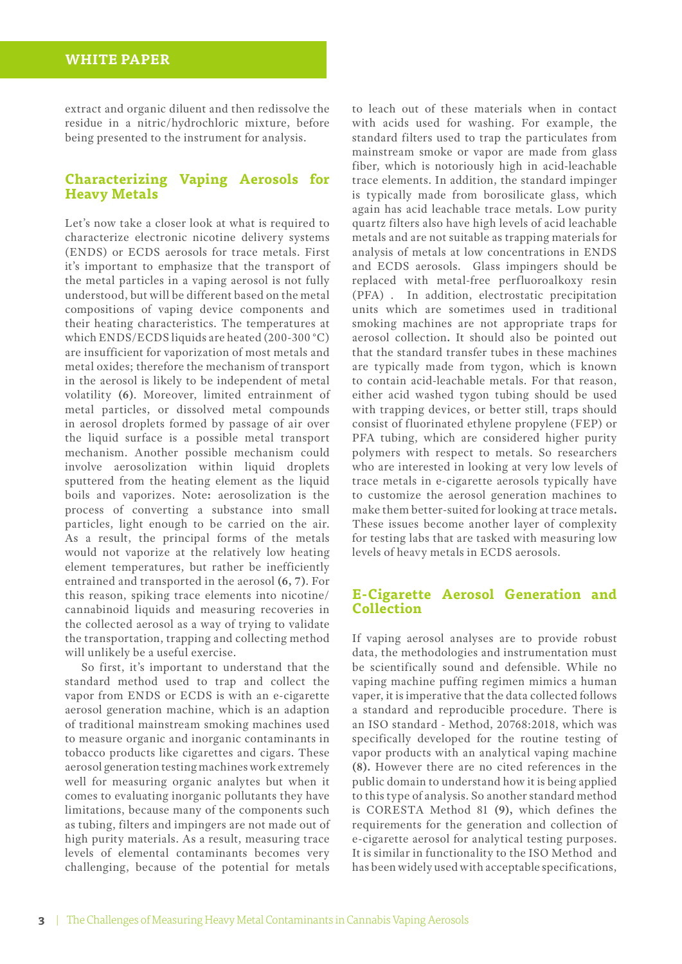extract and organic diluent and then redissolve the residue in a nitric/hydrochloric mixture, before being presented to the instrument for analysis.

#### **Characterizing Vaping Aerosols for Heavy Metals**

Let's now take a closer look at what is required to characterize electronic nicotine delivery systems (ENDS) or ECDS aerosols for trace metals. First it's important to emphasize that the transport of the metal particles in a vaping aerosol is not fully understood, but will be different based on the metal compositions of vaping device components and their heating characteristics. The temperatures at which ENDS/ECDS liquids are heated (200-300 °C) are insufficient for vaporization of most metals and metal oxides; therefore the mechanism of transport in the aerosol is likely to be independent of metal volatility **(6)**. Moreover, limited entrainment of metal particles, or dissolved metal compounds in aerosol droplets formed by passage of air over the liquid surface is a possible metal transport mechanism. Another possible mechanism could involve aerosolization within liquid droplets sputtered from the heating element as the liquid boils and vaporizes. Note**:** aerosolization is the process of converting a substance into small particles, light enough to be carried on the air. As a result, the principal forms of the metals would not vaporize at the relatively low heating element temperatures, but rather be inefficiently entrained and transported in the aerosol **(6, 7)**. For this reason, spiking trace elements into nicotine/ cannabinoid liquids and measuring recoveries in the collected aerosol as a way of trying to validate the transportation, trapping and collecting method will unlikely be a useful exercise.

So first, it's important to understand that the standard method used to trap and collect the vapor from ENDS or ECDS is with an e-cigarette aerosol generation machine, which is an adaption of traditional mainstream smoking machines used to measure organic and inorganic contaminants in tobacco products like cigarettes and cigars. These aerosol generation testing machines work extremely well for measuring organic analytes but when it comes to evaluating inorganic pollutants they have limitations, because many of the components such as tubing, filters and impingers are not made out of high purity materials. As a result, measuring trace levels of elemental contaminants becomes very challenging, because of the potential for metals

to leach out of these materials when in contact with acids used for washing. For example, the standard filters used to trap the particulates from mainstream smoke or vapor are made from glass fiber, which is notoriously high in acid-leachable trace elements. In addition, the standard impinger is typically made from borosilicate glass, which again has acid leachable trace metals. Low purity quartz filters also have high levels of acid leachable metals and are not suitable as trapping materials for analysis of metals at low concentrations in ENDS and ECDS aerosols. Glass impingers should be replaced with metal-free perfluoroalkoxy resin (PFA) . In addition, electrostatic precipitation units which are sometimes used in traditional smoking machines are not appropriate traps for aerosol collection**.** It should also be pointed out that the standard transfer tubes in these machines are typically made from tygon, which is known to contain acid-leachable metals. For that reason, either acid washed tygon tubing should be used with trapping devices, or better still, traps should consist of fluorinated ethylene propylene (FEP) or PFA tubing, which are considered higher purity polymers with respect to metals. So researchers who are interested in looking at very low levels of trace metals in e-cigarette aerosols typically have to customize the aerosol generation machines to make them better-suited for looking at trace metals**.** These issues become another layer of complexity for testing labs that are tasked with measuring low levels of heavy metals in ECDS aerosols.

#### **E-Cigarette Aerosol Generation and Collection**

If vaping aerosol analyses are to provide robust data, the methodologies and instrumentation must be scientifically sound and defensible. While no vaping machine puffing regimen mimics a human vaper, it is imperative that the data collected follows a standard and reproducible procedure. There is an ISO standard - Method, 20768:2018, which was specifically developed for the routine testing of vapor products with an analytical vaping machine **(8).** However there are no cited references in the public domain to understand how it is being applied to this type of analysis. So another standard method is CORESTA Method 81 **(9),** which defines the requirements for the generation and collection of e-cigarette aerosol for analytical testing purposes. It is similar in functionality to the ISO Method and has been widely used with acceptable specifications,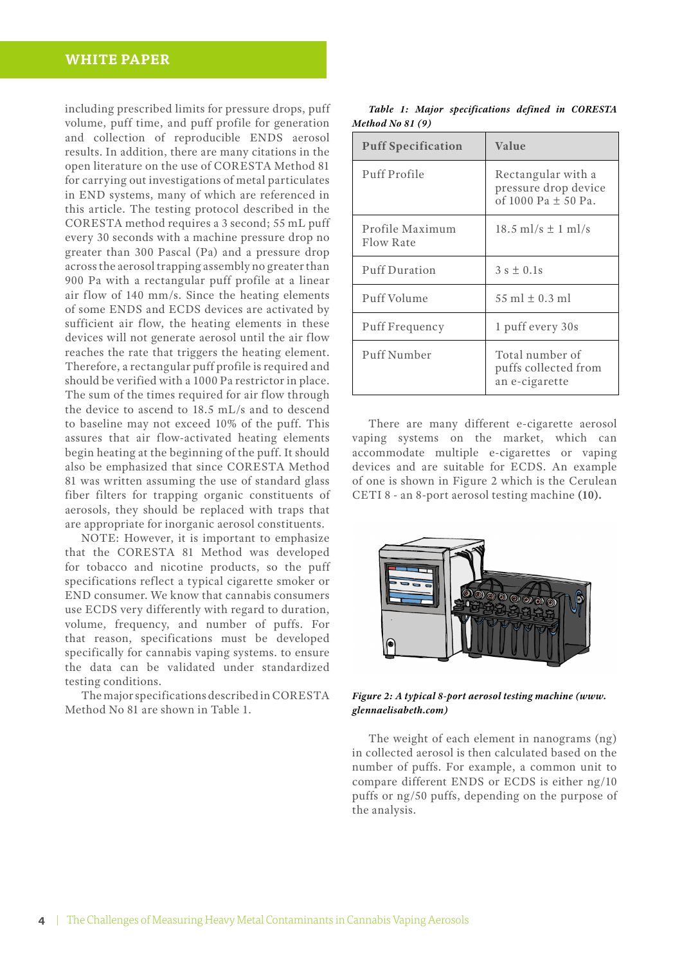## **WHITE PAPER**

including prescribed limits for pressure drops, puff volume, puff time, and puff profile for generation and collection of reproducible ENDS aerosol results. In addition, there are many citations in the open literature on the use of CORESTA Method 81 for carrying out investigations of metal particulates in END systems, many of which are referenced in this article. The testing protocol described in the CORESTA method requires a 3 second; 55 mL puff every 30 seconds with a machine pressure drop no greater than 300 Pascal (Pa) and a pressure drop across the aerosol trapping assembly no greater than 900 Pa with a rectangular puff profile at a linear air flow of 140 mm/s. Since the heating elements of some ENDS and ECDS devices are activated by sufficient air flow, the heating elements in these devices will not generate aerosol until the air flow reaches the rate that triggers the heating element. Therefore, a rectangular puff profile is required and should be verified with a 1000 Pa restrictor in place. The sum of the times required for air flow through the device to ascend to 18.5 mL/s and to descend to baseline may not exceed 10% of the puff. This assures that air flow-activated heating elements begin heating at the beginning of the puff. It should also be emphasized that since CORESTA Method 81 was written assuming the use of standard glass fiber filters for trapping organic constituents of aerosols, they should be replaced with traps that are appropriate for inorganic aerosol constituents.

NOTE: However, it is important to emphasize that the CORESTA 81 Method was developed for tobacco and nicotine products, so the puff specifications reflect a typical cigarette smoker or END consumer. We know that cannabis consumers use ECDS very differently with regard to duration, volume, frequency, and number of puffs. For that reason, specifications must be developed specifically for cannabis vaping systems. to ensure the data can be validated under standardized testing conditions.

The major specifications described in CORESTA Method No 81 are shown in Table 1.

|                   |  | Table 1: Major specifications defined in CORESTA |  |  |
|-------------------|--|--------------------------------------------------|--|--|
| Method No $81(9)$ |  |                                                  |  |  |

| <b>Puff Specification</b>    | Value                                                                 |  |  |
|------------------------------|-----------------------------------------------------------------------|--|--|
| Puff Profile                 | Rectangular with a<br>pressure drop device<br>of 1000 Pa $\pm$ 50 Pa. |  |  |
| Profile Maximum<br>Flow Rate | $18.5$ ml/s $\pm$ 1 ml/s                                              |  |  |
| <b>Puff Duration</b>         | $3 s \pm 0.1s$                                                        |  |  |
| Puff Volume                  | 55 ml $\pm$ 0.3 ml                                                    |  |  |
| Puff Frequency               | 1 puff every 30s                                                      |  |  |
| Puff Number                  | Total number of<br>puffs collected from<br>an e-cigarette             |  |  |

There are many different e-cigarette aerosol vaping systems on the market, which can accommodate multiple e-cigarettes or vaping devices and are suitable for ECDS. An example of one is shown in Figure 2 which is the Cerulean CETI 8 - an 8-port aerosol testing machine **(10).**



*Figure 2: A typical 8-port aerosol testing machine [\(www.](http://www.glennaelisabeth.com) [glennaelisabeth.com](http://www.glennaelisabeth.com))* 

The weight of each element in nanograms (ng) in collected aerosol is then calculated based on the number of puffs. For example, a common unit to compare different ENDS or ECDS is either ng/10 puffs or ng/50 puffs, depending on the purpose of the analysis.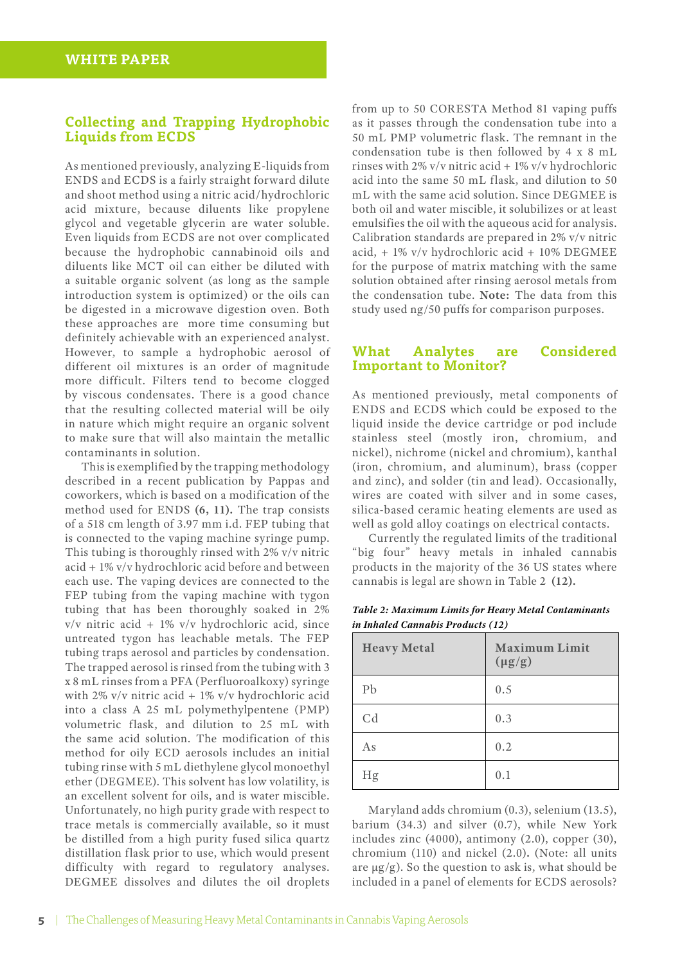#### **Collecting and Trapping Hydrophobic Liquids from ECDS**

As mentioned previously, analyzing E-liquids from ENDS and ECDS is a fairly straight forward dilute and shoot method using a nitric acid/hydrochloric acid mixture, because diluents like propylene glycol and vegetable glycerin are water soluble. Even liquids from ECDS are not over complicated because the hydrophobic cannabinoid oils and diluents like MCT oil can either be diluted with a suitable organic solvent (as long as the sample introduction system is optimized) or the oils can be digested in a microwave digestion oven. Both these approaches are more time consuming but definitely achievable with an experienced analyst. However, to sample a hydrophobic aerosol of different oil mixtures is an order of magnitude more difficult. Filters tend to become clogged by viscous condensates. There is a good chance that the resulting collected material will be oily in nature which might require an organic solvent to make sure that will also maintain the metallic contaminants in solution.

This is exemplified by the trapping methodology described in a recent publication by Pappas and coworkers, which is based on a modification of the method used for ENDS **(6, 11).** The trap consists of a 518 cm length of 3.97 mm i.d. FEP tubing that is connected to the vaping machine syringe pump. This tubing is thoroughly rinsed with 2% v/v nitric acid + 1% v/v hydrochloric acid before and between each use. The vaping devices are connected to the FEP tubing from the vaping machine with tygon tubing that has been thoroughly soaked in 2% v/v nitric acid + 1% v/v hydrochloric acid, since untreated tygon has leachable metals. The FEP tubing traps aerosol and particles by condensation. The trapped aerosol is rinsed from the tubing with 3 x 8 mL rinses from a PFA (Perfluoroalkoxy) syringe with 2% v/v nitric acid + 1% v/v hydrochloric acid into a class A 25 mL polymethylpentene (PMP) volumetric flask, and dilution to 25 mL with the same acid solution. The modification of this method for oily ECD aerosols includes an initial tubing rinse with 5 mL diethylene glycol monoethyl ether (DEGMEE). This solvent has low volatility, is an excellent solvent for oils, and is water miscible. Unfortunately, no high purity grade with respect to trace metals is commercially available, so it must be distilled from a high purity fused silica quartz distillation flask prior to use, which would present difficulty with regard to regulatory analyses. DEGMEE dissolves and dilutes the oil droplets

from up to 50 CORESTA Method 81 vaping puffs as it passes through the condensation tube into a 50 mL PMP volumetric flask. The remnant in the condensation tube is then followed by 4 x 8 mL rinses with 2% v/v nitric acid + 1% v/v hydrochloric acid into the same 50 mL flask, and dilution to 50 mL with the same acid solution. Since DEGMEE is both oil and water miscible, it solubilizes or at least emulsifies the oil with the aqueous acid for analysis. Calibration standards are prepared in 2% v/v nitric acid, + 1% v/v hydrochloric acid + 10% DEGMEE for the purpose of matrix matching with the same solution obtained after rinsing aerosol metals from the condensation tube. **Note:** The data from this study used ng/50 puffs for comparison purposes.

### **What Analytes are Considered Important to Monitor?**

As mentioned previously, metal components of ENDS and ECDS which could be exposed to the liquid inside the device cartridge or pod include stainless steel (mostly iron, chromium, and nickel), nichrome (nickel and chromium), kanthal (iron, chromium, and aluminum), brass (copper and zinc), and solder (tin and lead). Occasionally, wires are coated with silver and in some cases, silica-based ceramic heating elements are used as well as gold alloy coatings on electrical contacts.

Currently the regulated limits of the traditional "big four" heavy metals in inhaled cannabis products in the majority of the 36 US states where cannabis is legal are shown in Table 2 **(12).**

| <b>Heavy Metal</b> | <b>Maximum Limit</b><br>$(\mu g/g)$ |
|--------------------|-------------------------------------|
| Pb                 | 0.5                                 |
| C <sub>d</sub>     | 0.3                                 |
| As                 | 0.2                                 |
| Hg                 | 0.1                                 |

*Table 2: Maximum Limits for Heavy Metal Contaminants in Inhaled Cannabis Products (12)*

Maryland adds chromium (0.3), selenium (13.5), barium (34.3) and silver (0.7), while New York includes zinc (4000), antimony (2.0), copper (30), chromium (110) and nickel (2.0)**.** (Note: all units are  $\mu$ g/g). So the question to ask is, what should be included in a panel of elements for ECDS aerosols?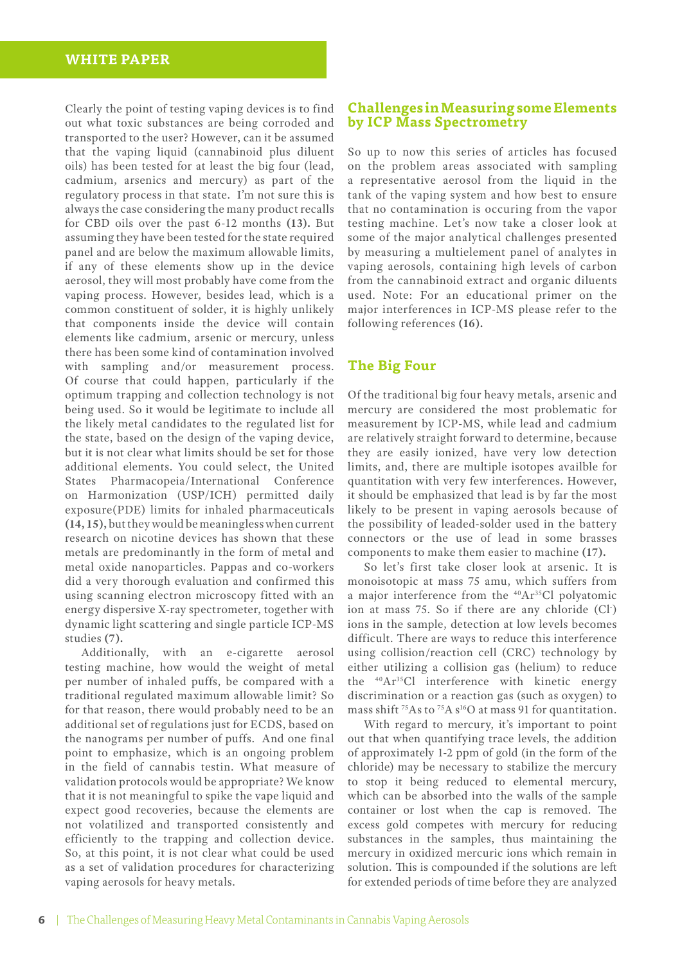## **WHITE PAPER**

Clearly the point of testing vaping devices is to find out what toxic substances are being corroded and transported to the user? However, can it be assumed that the vaping liquid (cannabinoid plus diluent oils) has been tested for at least the big four (lead, cadmium, arsenics and mercury) as part of the regulatory process in that state. I'm not sure this is always the case considering the many product recalls for CBD oils over the past 6-12 months **(13).** But assuming they have been tested for the state required panel and are below the maximum allowable limits, if any of these elements show up in the device aerosol, they will most probably have come from the vaping process. However, besides lead, which is a common constituent of solder, it is highly unlikely that components inside the device will contain elements like cadmium, arsenic or mercury, unless there has been some kind of contamination involved with sampling and/or measurement process. Of course that could happen, particularly if the optimum trapping and collection technology is not being used. So it would be legitimate to include all the likely metal candidates to the regulated list for the state, based on the design of the vaping device, but it is not clear what limits should be set for those additional elements. You could select, the United States Pharmacopeia/International Conference on Harmonization (USP/ICH) permitted daily exposure(PDE) limits for inhaled pharmaceuticals **(14, 15),** but they would be meaningless when current research on nicotine devices has shown that these metals are predominantly in the form of metal and metal oxide nanoparticles. Pappas and co-workers did a very thorough evaluation and confirmed this using scanning electron microscopy fitted with an energy dispersive X-ray spectrometer, together with dynamic light scattering and single particle ICP-MS studies **(7).**

Additionally, with an e-cigarette aerosol testing machine, how would the weight of metal per number of inhaled puffs, be compared with a traditional regulated maximum allowable limit? So for that reason, there would probably need to be an additional set of regulations just for ECDS, based on the nanograms per number of puffs. And one final point to emphasize, which is an ongoing problem in the field of cannabis testin. What measure of validation protocols would be appropriate? We know that it is not meaningful to spike the vape liquid and expect good recoveries, because the elements are not volatilized and transported consistently and efficiently to the trapping and collection device. So, at this point, it is not clear what could be used as a set of validation procedures for characterizing vaping aerosols for heavy metals.

#### **Challenges in Measuring some Elements by ICP Mass Spectrometry**

So up to now this series of articles has focused on the problem areas associated with sampling a representative aerosol from the liquid in the tank of the vaping system and how best to ensure that no contamination is occuring from the vapor testing machine. Let's now take a closer look at some of the major analytical challenges presented by measuring a multielement panel of analytes in vaping aerosols, containing high levels of carbon from the cannabinoid extract and organic diluents used. Note: For an educational primer on the major interferences in ICP-MS please refer to the following references **(16).**

#### **The Big Four**

Of the traditional big four heavy metals, arsenic and mercury are considered the most problematic for measurement by ICP-MS, while lead and cadmium are relatively straight forward to determine, because they are easily ionized, have very low detection limits, and, there are multiple isotopes availble for quantitation with very few interferences. However, it should be emphasized that lead is by far the most likely to be present in vaping aerosols because of the possibility of leaded-solder used in the battery connectors or the use of lead in some brasses components to make them easier to machine **(17).**

So let's first take closer look at arsenic. It is monoisotopic at mass 75 amu, which suffers from a major interference from the <sup>40</sup>Ar<sup>35</sup>Cl polyatomic ion at mass 75. So if there are any chloride (Cl<sup>-</sup>) ions in the sample, detection at low levels becomes difficult. There are ways to reduce this interference using collision/reaction cell (CRC) technology by either utilizing a collision gas (helium) to reduce the 40Ar35Cl interference with kinetic energy discrimination or a reaction gas (such as oxygen) to mass shift  $^{75}$ As to  $^{75}$ A s<sup>16</sup>O at mass 91 for quantitation.

With regard to mercury, it's important to point out that when quantifying trace levels, the addition of approximately 1-2 ppm of gold (in the form of the chloride) may be necessary to stabilize the mercury to stop it being reduced to elemental mercury, which can be absorbed into the walls of the sample container or lost when the cap is removed. The excess gold competes with mercury for reducing substances in the samples, thus maintaining the mercury in oxidized mercuric ions which remain in solution. This is compounded if the solutions are left for extended periods of time before they are analyzed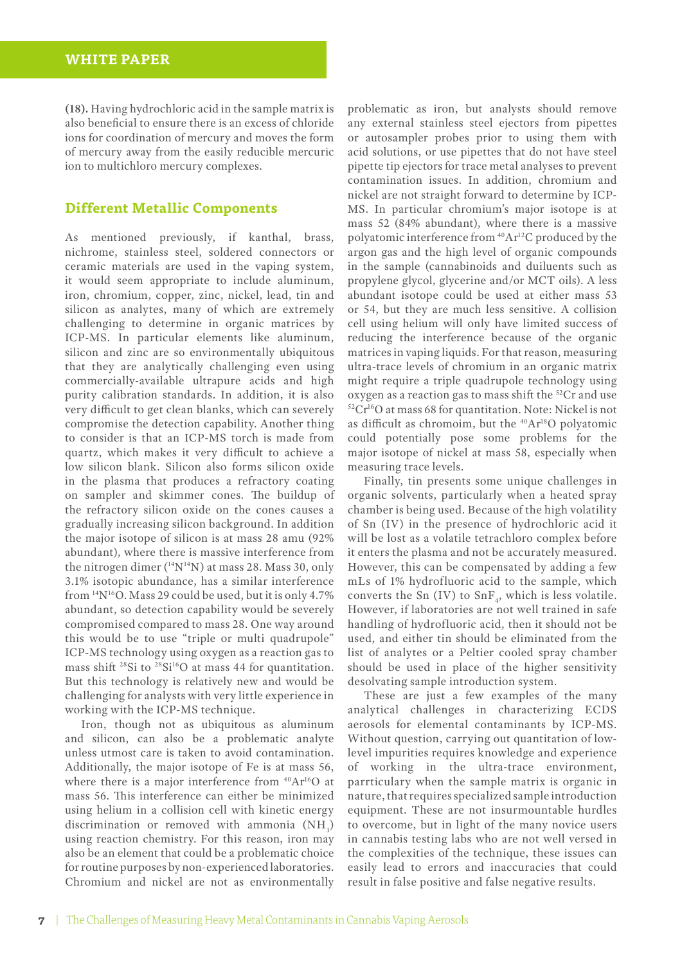**(18).** Having hydrochloric acid in the sample matrix is also beneficial to ensure there is an excess of chloride ions for coordination of mercury and moves the form of mercury away from the easily reducible mercuric ion to multichloro mercury complexes.

#### **Different Metallic Components**

As mentioned previously, if kanthal, brass, nichrome, stainless steel, soldered connectors or ceramic materials are used in the vaping system, it would seem appropriate to include aluminum, iron, chromium, copper, zinc, nickel, lead, tin and silicon as analytes, many of which are extremely challenging to determine in organic matrices by ICP-MS. In particular elements like aluminum, silicon and zinc are so environmentally ubiquitous that they are analytically challenging even using commercially-available ultrapure acids and high purity calibration standards. In addition, it is also very difficult to get clean blanks, which can severely compromise the detection capability. Another thing to consider is that an ICP-MS torch is made from quartz, which makes it very difficult to achieve a low silicon blank. Silicon also forms silicon oxide in the plasma that produces a refractory coating on sampler and skimmer cones. The buildup of the refractory silicon oxide on the cones causes a gradually increasing silicon background. In addition the major isotope of silicon is at mass 28 amu (92% abundant), where there is massive interference from the nitrogen dimer  $(^{14}N^{14}N)$  at mass 28. Mass 30, only 3.1% isotopic abundance, has a similar interference from 14N16O. Mass 29 could be used, but it is only 4.7% abundant, so detection capability would be severely compromised compared to mass 28. One way around this would be to use "triple or multi quadrupole" ICP-MS technology using oxygen as a reaction gas to mass shift <sup>28</sup>Si to <sup>28</sup>Si<sup>16</sup>O at mass 44 for quantitation. But this technology is relatively new and would be challenging for analysts with very little experience in working with the ICP-MS technique.

Iron, though not as ubiquitous as aluminum and silicon, can also be a problematic analyte unless utmost care is taken to avoid contamination. Additionally, the major isotope of Fe is at mass 56, where there is a major interference from  $40Ar^{16}O$  at mass 56. This interference can either be minimized using helium in a collision cell with kinetic energy discrimination or removed with ammonia  $(NH_3)$ using reaction chemistry. For this reason, iron may also be an element that could be a problematic choice for routine purposes by non-experienced laboratories. Chromium and nickel are not as environmentally problematic as iron, but analysts should remove any external stainless steel ejectors from pipettes or autosampler probes prior to using them with acid solutions, or use pipettes that do not have steel pipette tip ejectors for trace metal analyses to prevent contamination issues. In addition, chromium and nickel are not straight forward to determine by ICP-MS. In particular chromium's major isotope is at mass 52 (84% abundant), where there is a massive polyatomic interference from <sup>40</sup>Ar<sup>12</sup>C produced by the argon gas and the high level of organic compounds in the sample (cannabinoids and duiluents such as propylene glycol, glycerine and/or MCT oils). A less abundant isotope could be used at either mass 53 or 54, but they are much less sensitive. A collision cell using helium will only have limited success of reducing the interference because of the organic matrices in vaping liquids. For that reason, measuring ultra-trace levels of chromium in an organic matrix might require a triple quadrupole technology using oxygen as a reaction gas to mass shift the  ${}^{52}Cr$  and use  ${}^{52}Cr^{16}O$  at mass 68 for quantitation. Note: Nickel is not as difficult as chromoim, but the 40Ar18O polyatomic could potentially pose some problems for the major isotope of nickel at mass 58, especially when measuring trace levels.

Finally, tin presents some unique challenges in organic solvents, particularly when a heated spray chamber is being used. Because of the high volatility of Sn (IV) in the presence of hydrochloric acid it will be lost as a volatile tetrachloro complex before it enters the plasma and not be accurately measured. However, this can be compensated by adding a few mLs of 1% hydrofluoric acid to the sample, which converts the Sn (IV) to  $\text{SnF}_4$ , which is less volatile. However, if laboratories are not well trained in safe handling of hydrofluoric acid, then it should not be used, and either tin should be eliminated from the list of analytes or a Peltier cooled spray chamber should be used in place of the higher sensitivity desolvating sample introduction system.

These are just a few examples of the many analytical challenges in characterizing ECDS aerosols for elemental contaminants by ICP-MS. Without question, carrying out quantitation of lowlevel impurities requires knowledge and experience of working in the ultra-trace environment, parrticulary when the sample matrix is organic in nature, that requires specialized sample introduction equipment. These are not insurmountable hurdles to overcome, but in light of the many novice users in cannabis testing labs who are not well versed in the complexities of the technique, these issues can easily lead to errors and inaccuracies that could result in false positive and false negative results.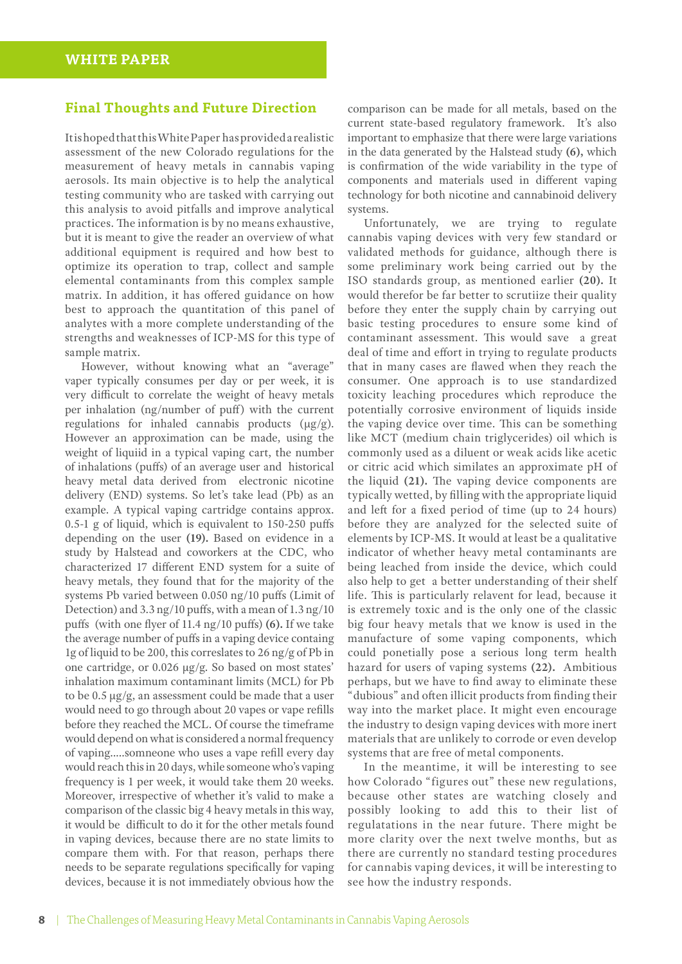#### **Final Thoughts and Future Direction**

It is hoped that this White Paper has provided a realistic assessment of the new Colorado regulations for the measurement of heavy metals in cannabis vaping aerosols. Its main objective is to help the analytical testing community who are tasked with carrying out this analysis to avoid pitfalls and improve analytical practices. The information is by no means exhaustive, but it is meant to give the reader an overview of what additional equipment is required and how best to optimize its operation to trap, collect and sample elemental contaminants from this complex sample matrix. In addition, it has offered guidance on how best to approach the quantitation of this panel of analytes with a more complete understanding of the strengths and weaknesses of ICP-MS for this type of sample matrix.

However, without knowing what an "average" vaper typically consumes per day or per week, it is very difficult to correlate the weight of heavy metals per inhalation (ng/number of puff) with the current regulations for inhaled cannabis products  $(\mu g/g)$ . However an approximation can be made, using the weight of liquiid in a typical vaping cart, the number of inhalations (puffs) of an average user and historical heavy metal data derived from electronic nicotine delivery (END) systems. So let's take lead (Pb) as an example. A typical vaping cartridge contains approx. 0.5-1 g of liquid, which is equivalent to 150-250 puffs depending on the user **(19).** Based on evidence in a study by Halstead and coworkers at the CDC, who characterized 17 different END system for a suite of heavy metals, they found that for the majority of the systems Pb varied between 0.050 ng/10 puffs (Limit of Detection) and 3.3 ng/10 puffs, with a mean of 1.3 ng/10 puffs (with one flyer of 11.4 ng/10 puffs) **(6).** If we take the average number of puffs in a vaping device containg 1g of liquid to be 200, this correslates to 26 ng/g of Pb in one cartridge, or 0.026 µg/g. So based on most states' inhalation maximum contaminant limits (MCL) for Pb to be 0.5 µg/g, an assessment could be made that a user would need to go through about 20 vapes or vape refills before they reached the MCL. Of course the timeframe would depend on what is considered a normal frequency of vaping…..somneone who uses a vape refill every day would reach this in 20 days, while someone who's vaping frequency is 1 per week, it would take them 20 weeks. Moreover, irrespective of whether it's valid to make a comparison of the classic big 4 heavy metals in this way, it would be difficult to do it for the other metals found in vaping devices, because there are no state limits to compare them with. For that reason, perhaps there needs to be separate regulations specifically for vaping devices, because it is not immediately obvious how the

comparison can be made for all metals, based on the current state-based regulatory framework. It's also important to emphasize that there were large variations in the data generated by the Halstead study **(6),** which is confirmation of the wide variability in the type of components and materials used in different vaping technology for both nicotine and cannabinoid delivery systems.

Unfortunately, we are trying to regulate cannabis vaping devices with very few standard or validated methods for guidance, although there is some preliminary work being carried out by the ISO standards group, as mentioned earlier **(20).** It would therefor be far better to scrutiize their quality before they enter the supply chain by carrying out basic testing procedures to ensure some kind of contaminant assessment. This would save a great deal of time and effort in trying to regulate products that in many cases are flawed when they reach the consumer. One approach is to use standardized toxicity leaching procedures which reproduce the potentially corrosive environment of liquids inside the vaping device over time. This can be something like MCT (medium chain triglycerides) oil which is commonly used as a diluent or weak acids like acetic or citric acid which similates an approximate pH of the liquid **(21).** The vaping device components are typically wetted, by filling with the appropriate liquid and left for a fixed period of time (up to 24 hours) before they are analyzed for the selected suite of elements by ICP-MS. It would at least be a qualitative indicator of whether heavy metal contaminants are being leached from inside the device, which could also help to get a better understanding of their shelf life. This is particularly relavent for lead, because it is extremely toxic and is the only one of the classic big four heavy metals that we know is used in the manufacture of some vaping components, which could ponetially pose a serious long term health hazard for users of vaping systems **(22).** Ambitious perhaps, but we have to find away to eliminate these "dubious" and often illicit products from finding their way into the market place. It might even encourage the industry to design vaping devices with more inert materials that are unlikely to corrode or even develop systems that are free of metal components.

In the meantime, it will be interesting to see how Colorado "figures out" these new regulations, because other states are watching closely and possibly looking to add this to their list of regulatations in the near future. There might be more clarity over the next twelve months, but as there are currently no standard testing procedures for cannabis vaping devices, it will be interesting to see how the industry responds.